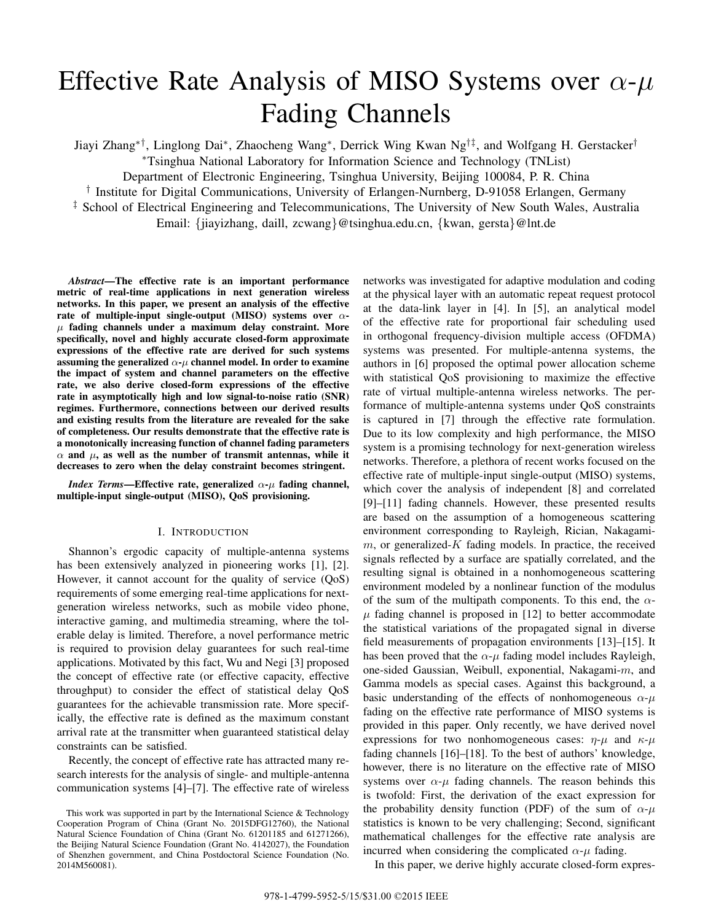# Effective Rate Analysis of MISO Systems over  $\alpha$ - $\mu$ Fading Channels

Jiayi Zhang∗†, Linglong Dai∗, Zhaocheng Wang∗, Derrick Wing Kwan Ng†‡, and Wolfgang H. Gerstacker† ∗Tsinghua National Laboratory for Information Science and Technology (TNList)

Department of Electronic Engineering, Tsinghua University, Beijing 100084, P. R. China

† Institute for Digital Communications, University of Erlangen-Nurnberg, D-91058 Erlangen, Germany

‡ School of Electrical Engineering and Telecommunications, The University of New South Wales, Australia

Email: {jiayizhang, daill, zcwang}@tsinghua.edu.cn, {kwan, gersta}@lnt.de

*Abstract***—The effective rate is an important performance metric of real-time applications in next generation wireless networks. In this paper, we present an analysis of the effective rate of multiple-input single-output (MISO) systems over** αμ **fading channels under a maximum delay constraint. More specifically, novel and highly accurate closed-form approximate expressions of the effective rate are derived for such systems assuming the generalized**  $\alpha$ -*μ* **channel model. In order to examine the impact of system and channel parameters on the effective rate, we also derive closed-form expressions of the effective rate in asymptotically high and low signal-to-noise ratio (SNR) regimes. Furthermore, connections between our derived results and existing results from the literature are revealed for the sake of completeness. Our results demonstrate that the effective rate is a monotonically increasing function of channel fading parameters** α **and** μ**, as well as the number of transmit antennas, while it decreases to zero when the delay constraint becomes stringent.**

*Index Terms***—Effective rate, generalized** α**-**μ **fading channel, multiple-input single-output (MISO), QoS provisioning.**

# I. INTRODUCTION

Shannon's ergodic capacity of multiple-antenna systems has been extensively analyzed in pioneering works [1], [2]. However, it cannot account for the quality of service (QoS) requirements of some emerging real-time applications for nextgeneration wireless networks, such as mobile video phone, interactive gaming, and multimedia streaming, where the tolerable delay is limited. Therefore, a novel performance metric is required to provision delay guarantees for such real-time applications. Motivated by this fact, Wu and Negi [3] proposed the concept of effective rate (or effective capacity, effective throughput) to consider the effect of statistical delay QoS guarantees for the achievable transmission rate. More specifically, the effective rate is defined as the maximum constant arrival rate at the transmitter when guaranteed statistical delay constraints can be satisfied.

Recently, the concept of effective rate has attracted many research interests for the analysis of single- and multiple-antenna communication systems [4]–[7]. The effective rate of wireless

This work was supported in part by the International Science & Technology Cooperation Program of China (Grant No. 2015DFG12760), the National Natural Science Foundation of China (Grant No. 61201185 and 61271266), the Beijing Natural Science Foundation (Grant No. 4142027), the Foundation of Shenzhen government, and China Postdoctoral Science Foundation (No. 2014M560081).

networks was investigated for adaptive modulation and coding at the physical layer with an automatic repeat request protocol at the data-link layer in [4]. In [5], an analytical model of the effective rate for proportional fair scheduling used in orthogonal frequency-division multiple access (OFDMA) systems was presented. For multiple-antenna systems, the authors in [6] proposed the optimal power allocation scheme with statistical QoS provisioning to maximize the effective rate of virtual multiple-antenna wireless networks. The performance of multiple-antenna systems under QoS constraints is captured in [7] through the effective rate formulation. Due to its low complexity and high performance, the MISO system is a promising technology for next-generation wireless networks. Therefore, a plethora of recent works focused on the effective rate of multiple-input single-output (MISO) systems, which cover the analysis of independent [8] and correlated [9]–[11] fading channels. However, these presented results are based on the assumption of a homogeneous scattering environment corresponding to Rayleigh, Rician, Nakagami $m$ , or generalized- $K$  fading models. In practice, the received signals reflected by a surface are spatially correlated, and the resulting signal is obtained in a nonhomogeneous scattering environment modeled by a nonlinear function of the modulus of the sum of the multipath components. To this end, the  $\alpha$ - $\mu$  fading channel is proposed in [12] to better accommodate the statistical variations of the propagated signal in diverse field measurements of propagation environments [13]–[15]. It has been proved that the  $\alpha$ - $\mu$  fading model includes Rayleigh, one-sided Gaussian, Weibull, exponential, Nakagami-m, and Gamma models as special cases. Against this background, a basic understanding of the effects of nonhomogeneous  $\alpha$ - $\mu$ fading on the effective rate performance of MISO systems is provided in this paper. Only recently, we have derived novel expressions for two nonhomogeneous cases:  $\eta-\mu$  and  $\kappa-\mu$ fading channels [16]–[18]. To the best of authors' knowledge, however, there is no literature on the effective rate of MISO systems over  $\alpha$ - $\mu$  fading channels. The reason behinds this is twofold: First, the derivation of the exact expression for the probability density function (PDF) of the sum of  $\alpha-\mu$ statistics is known to be very challenging; Second, significant mathematical challenges for the effective rate analysis are incurred when considering the complicated  $\alpha$ - $\mu$  fading.

In this paper, we derive highly accurate closed-form expres-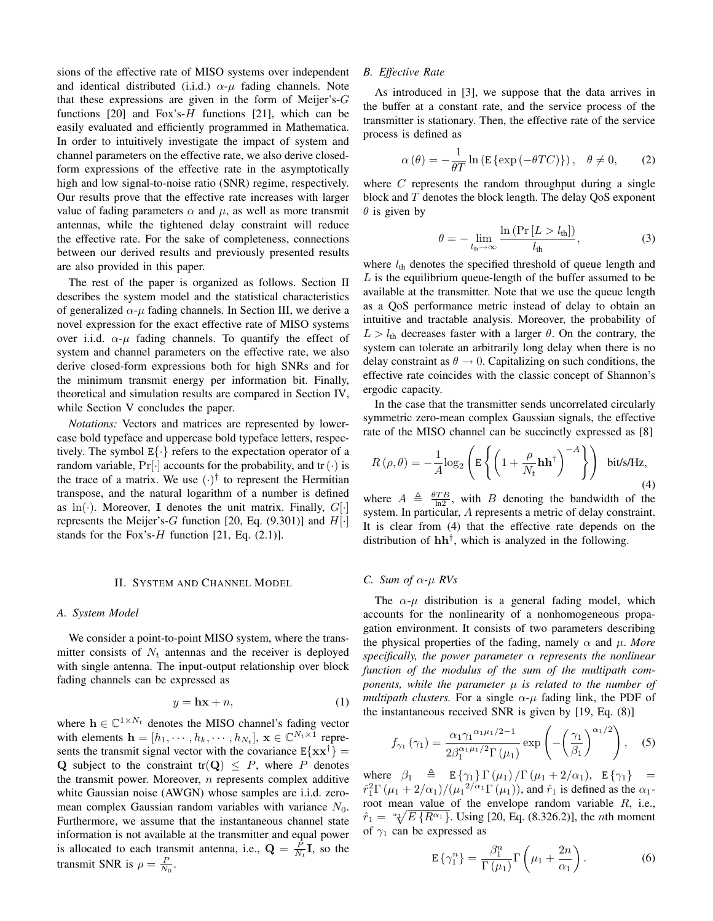sions of the effective rate of MISO systems over independent and identical distributed (i.i.d.)  $\alpha-\mu$  fading channels. Note that these expressions are given in the form of Meijer's- $G$ functions [20] and Fox's-H functions [21], which can be easily evaluated and efficiently programmed in Mathematica. In order to intuitively investigate the impact of system and channel parameters on the effective rate, we also derive closedform expressions of the effective rate in the asymptotically high and low signal-to-noise ratio (SNR) regime, respectively. Our results prove that the effective rate increases with larger value of fading parameters  $\alpha$  and  $\mu$ , as well as more transmit antennas, while the tightened delay constraint will reduce the effective rate. For the sake of completeness, connections between our derived results and previously presented results are also provided in this paper.

The rest of the paper is organized as follows. Section II describes the system model and the statistical characteristics of generalized  $\alpha$ -*μ* fading channels. In Section III, we derive a novel expression for the exact effective rate of MISO systems over i.i.d.  $\alpha$ - $\mu$  fading channels. To quantify the effect of system and channel parameters on the effective rate, we also derive closed-form expressions both for high SNRs and for the minimum transmit energy per information bit. Finally, theoretical and simulation results are compared in Section IV, while Section V concludes the paper.

*Notations:* Vectors and matrices are represented by lowercase bold typeface and uppercase bold typeface letters, respectively. The symbol  $E\{\cdot\}$  refers to the expectation operator of a random variable,  $Pr[\cdot]$  accounts for the probability, and tr( $\cdot$ ) is the trace of a matrix. We use  $(\cdot)^\dagger$  to represent the Hermitian transpose, and the natural logarithm of a number is defined as  $\ln(\cdot)$ . Moreover, **I** denotes the unit matrix. Finally,  $G[\cdot]$ represents the Meijer's-G function [20, Eq. (9.301)] and  $H[\cdot]$ stands for the Fox's-H function  $[21, Eq. (2.1)].$ 

### II. SYSTEM AND CHANNEL MODEL

### *A. System Model*

We consider a point-to-point MISO system, where the transmitter consists of  $N_t$  antennas and the receiver is deployed with single antenna. The input-output relationship over block fading channels can be expressed as

$$
y = \mathbf{h}\mathbf{x} + n,\tag{1}
$$

where  $h \in \mathbb{C}^{1 \times N_t}$  denotes the MISO channel's fading vector with elements  $\mathbf{h} = [h_1, \dots, h_k, \dots, h_{N_t}], \mathbf{x} \in \mathbb{C}^{N_t \times 1}$  represents the transmit signal vector with the covariance  $E\{xx^{\dagger}\}$  = **Q** subject to the constraint tr( $Q$ )  $\leq P$ , where P denotes the transmit power. Moreover,  $n$  represents complex additive white Gaussian noise (AWGN) whose samples are i.i.d. zeromean complex Gaussian random variables with variance  $N_0$ . Furthermore, we assume that the instantaneous channel state information is not available at the transmitter and equal power is allocated to each transmit antenna, i.e.,  $\mathbf{Q} = \frac{P}{N_t} \mathbf{I}$ , so the transmit SNP is  $\rho = P$ transmit SNR is  $\rho = \frac{P}{N_0}$ .

## *B. Effective Rate*

As introduced in [3], we suppose that the data arrives in the buffer at a constant rate, and the service process of the transmitter is stationary. Then, the effective rate of the service process is defined as

$$
\alpha(\theta) = -\frac{1}{\theta T} \ln \left( \mathbb{E} \left\{ \exp \left( -\theta T C \right) \right\} \right), \quad \theta \neq 0, \tag{2}
$$

where  $C$  represents the random throughput during a single block and T denotes the block length. The delay QoS exponent  $\theta$  is given by

$$
\theta = -\lim_{l_{\text{th}} \to \infty} \frac{\ln \left( \Pr \left[ L > l_{\text{th}} \right] \right)}{l_{\text{th}}},\tag{3}
$$

where  $l_{\text{th}}$  denotes the specified threshold of queue length and L is the equilibrium queue-length of the buffer assumed to be available at the transmitter. Note that we use the queue length as a QoS performance metric instead of delay to obtain an intuitive and tractable analysis. Moreover, the probability of  $L > l<sub>th</sub>$  decreases faster with a larger  $\theta$ . On the contrary, the system can tolerate an arbitrarily long delay when there is no delay constraint as  $\theta \rightarrow 0$ . Capitalizing on such conditions, the effective rate coincides with the classic concept of Shannon's ergodic capacity.

In the case that the transmitter sends uncorrelated circularly symmetric zero-mean complex Gaussian signals, the effective rate of the MISO channel can be succinctly expressed as [8]

$$
R(\rho,\theta) = -\frac{1}{A}\log_2\left(\mathbb{E}\left\{ \left(1 + \frac{\rho}{N_t}\mathbf{h}\mathbf{h}^\dagger\right)^{-A}\right\}\right) \text{ bit/s/Hz},\tag{4}
$$

where  $A \triangleq \frac{\theta TB}{\ln 2}$ , with B denoting the bandwidth of the system. In particular, A represents a metric of delay constraint. It is clear from (4) that the effective rate depends on the distribution of **hh**†, which is analyzed in the following.

#### *C. Sum of* α*-*μ *RVs*

The  $\alpha$ - $\mu$  distribution is a general fading model, which accounts for the nonlinearity of a nonhomogeneous propagation environment. It consists of two parameters describing the physical properties of the fading, namely  $\alpha$  and  $\mu$ . More *specifically, the power parameter* α *represents the nonlinear function of the modulus of the sum of the multipath components, while the parameter* μ *is related to the number of multipath clusters.* For a single  $\alpha$ - $\mu$  fading link, the PDF of the instantaneous received SNR is given by [19, Eq. (8)]

$$
f_{\gamma_1}(\gamma_1) = \frac{\alpha_1 \gamma_1^{\alpha_1 \mu_1/2 - 1}}{2\beta_1^{\alpha_1 \mu_1/2} \Gamma(\mu_1)} \exp\left(-\left(\frac{\gamma_1}{\beta_1}\right)^{\alpha_1/2}\right), \quad (5)
$$

where  $\beta_1 \triangleq \mathbb{E} \{ \gamma_1 \} \Gamma(\mu_1) / \Gamma(\mu_1 + 2/\alpha_1), \mathbb{E} \{ \gamma_1 \} = \hat{\kappa}^2 \Gamma(\mu_1 + 2/\alpha_1) / (\mu_2^2/\alpha_1 \Gamma(\mu_1))$  and  $\hat{\kappa}$  is defined as the  $\alpha_1$ .  $\hat{r}_1^2 \Gamma(\mu_1 + 2/\alpha_1)/(\mu_1^2/\alpha_1 \Gamma(\mu_1))$ , and  $\hat{r}_1$  is defined as the  $\alpha_1$ -<br>root mean value of the envelope random variable R i.e. root mean value of the envelope random variable R, i.e.,  $\hat{r}_1 = \sqrt[\alpha_1]{E\{R^{\alpha_1}\}}$ . Using [20, Eq. (8.326.2)], the *n*th moment of  $\alpha_1$  can be expressed as of  $\gamma_1$  can be expressed as

$$
\mathbf{E}\left\{\gamma_1^n\right\} = \frac{\beta_1^n}{\Gamma\left(\mu_1\right)} \Gamma\left(\mu_1 + \frac{2n}{\alpha_1}\right). \tag{6}
$$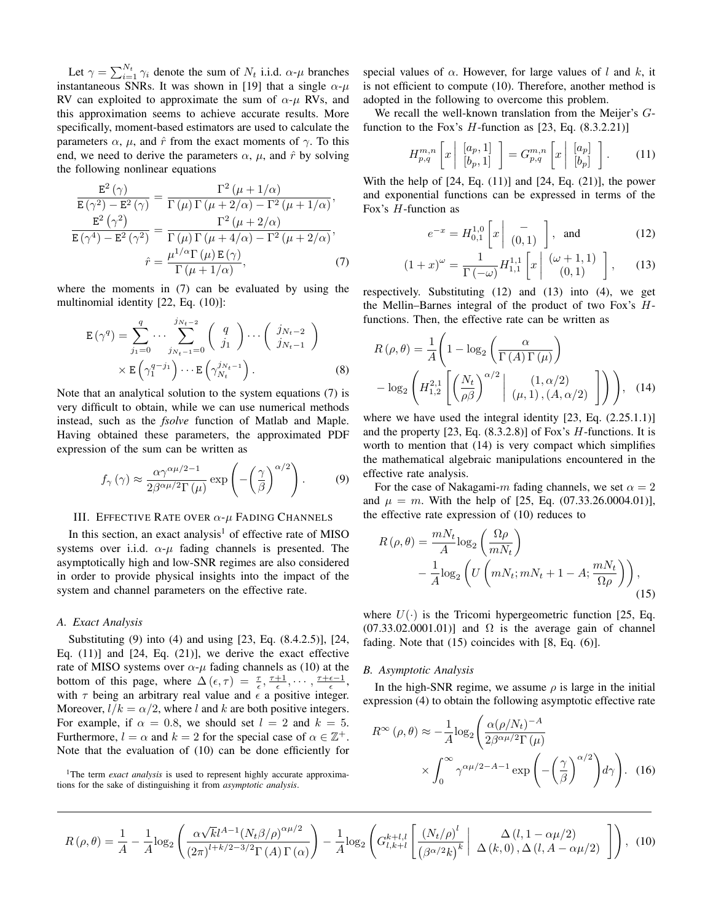Let  $\gamma = \sum_{i=1}^{N_t} \gamma_i$  denote the sum of  $N_t$  i.i.d.  $\alpha$ - $\mu$  branches<br>tantaneous SNRs. It was shown in [19] that a single  $\alpha$ - $\mu$ instantaneous SNRs. It was shown in [19] that a single  $\alpha$ - $\mu$ RV can exploited to approximate the sum of  $\alpha$ - $\mu$  RVs, and this approximation seems to achieve accurate results. More specifically, moment-based estimators are used to calculate the parameters  $\alpha$ ,  $\mu$ , and  $\hat{r}$  from the exact moments of  $\gamma$ . To this end, we need to derive the parameters  $\alpha$ ,  $\mu$ , and  $\hat{r}$  by solving the following nonlinear equations

$$
\frac{\mathbf{E}^{2}(\gamma)}{\mathbf{E}(\gamma^{2}) - \mathbf{E}^{2}(\gamma)} = \frac{\Gamma^{2}(\mu + 1/\alpha)}{\Gamma(\mu)\Gamma(\mu + 2/\alpha) - \Gamma^{2}(\mu + 1/\alpha)},
$$

$$
\frac{\mathbf{E}^{2}(\gamma^{2})}{\mathbf{E}(\gamma^{4}) - \mathbf{E}^{2}(\gamma^{2})} = \frac{\Gamma^{2}(\mu + 2/\alpha)}{\Gamma(\mu)\Gamma(\mu + 4/\alpha) - \Gamma^{2}(\mu + 2/\alpha)},
$$

$$
\hat{r} = \frac{\mu^{1/\alpha}\Gamma(\mu)\mathbf{E}(\gamma)}{\Gamma(\mu + 1/\alpha)}, \tag{7}
$$

where the moments in (7) can be evaluated by using the multinomial identity [22, Eq. (10)]:

$$
\mathbf{E}(\gamma^q) = \sum_{j_1=0}^q \cdots \sum_{j_{N_t-1}=0}^{j_{N_t-2}} \begin{pmatrix} q \\ j_1 \end{pmatrix} \cdots \begin{pmatrix} j_{N_t-2} \\ j_{N_t-1} \end{pmatrix}
$$

$$
\times \mathbf{E} \begin{pmatrix} \gamma_1^{q-j_1} \end{pmatrix} \cdots \mathbf{E} \begin{pmatrix} j_{N_t-1} \\ \gamma_{N_t} \end{pmatrix}.
$$
 (8)

Note that an analytical solution to the system equations (7) is very difficult to obtain, while we can use numerical methods instead, such as the *fsolve* function of Matlab and Maple. Having obtained these parameters, the approximated PDF expression of the sum can be written as

$$
f_{\gamma}(\gamma) \approx \frac{\alpha \gamma^{\alpha \mu/2 - 1}}{2\beta^{\alpha \mu/2} \Gamma(\mu)} \exp\left(-\left(\frac{\gamma}{\beta}\right)^{\alpha/2}\right).
$$
 (9)

# III. EFFECTIVE RATE OVER  $\alpha$ - $\mu$  Fading Channels

In this section, an exact analysis<sup>1</sup> of effective rate of MISO systems over i.i.d.  $\alpha$ - $\mu$  fading channels is presented. The asymptotically high and low-SNR regimes are also considered in order to provide physical insights into the impact of the system and channel parameters on the effective rate.

# *A. Exact Analysis*

Substituting (9) into (4) and using [23, Eq. (8.4.2.5)], [24, Eq.  $(11)$ ] and  $[24, Eq. (21)]$ , we derive the exact effective rate of MISO systems over  $\alpha$ - $\mu$  fading channels as (10) at the bottom of this page, where  $\Delta(\epsilon, \tau) = \frac{\tau}{\epsilon}, \frac{\tau+1}{\epsilon}, \cdots, \frac{\tau+\epsilon-1}{\epsilon},$ <br>with  $\tau$  being an arbitrary real value and  $\epsilon$  a positive integer with  $\tau$  being an arbitrary real value and  $\epsilon$  a positive integer. Moreover,  $l/k = \alpha/2$ , where l and k are both positive integers. For example, if  $\alpha = 0.8$ , we should set  $l = 2$  and  $k = 5$ . Furthermore,  $l = \alpha$  and  $k = 2$  for the special case of  $\alpha \in \mathbb{Z}^+$ . Note that the evaluation of (10) can be done efficiently for

<sup>1</sup>The term *exact analysis* is used to represent highly accurate approximations for the sake of distinguishing it from *asymptotic analysis*.

special values of  $\alpha$ . However, for large values of l and k, it is not efficient to compute (10). Therefore, another method is adopted in the following to overcome this problem.

We recall the well-known translation from the Meijer's Gfunction to the Fox's  $H$ -function as [23, Eq. (8.3.2.21)]

$$
H_{p,q}^{m,n}\left[x \mid \begin{bmatrix} [a_p,1] \\ [b_p,1] \end{bmatrix}\right] = G_{p,q}^{m,n}\left[x \mid \begin{bmatrix} [a_p] \\ [b_p] \end{bmatrix}\right].
$$
 (11)

With the help of  $[24, Eq. (11)]$  and  $[24, Eq. (21)]$ , the power and exponential functions can be expressed in terms of the Fox's H-function as

$$
e^{-x} = H_{0,1}^{1,0} \left[ x \middle| \begin{array}{c} - \\ (0,1) \end{array} \right], \text{ and } (12)
$$

$$
(1+x)^{\omega} = \frac{1}{\Gamma(-\omega)} H_{1,1}^{1,1} \left[ x \middle| \begin{array}{c} (\omega+1,1) \\ (0,1) \end{array} \right], \qquad (13)
$$

respectively. Substituting (12) and (13) into (4), we get the Mellin–Barnes integral of the product of two Fox's Hfunctions. Then, the effective rate can be written as

$$
R(\rho,\theta) = \frac{1}{A} \left( 1 - \log_2 \left( \frac{\alpha}{\Gamma(A) \Gamma(\mu)} \right) - \log_2 \left( H_{1,2}^{2,1} \left[ \left( \frac{N_t}{\rho \beta} \right)^{\alpha/2} \middle|_{(\mu,1), (A,\alpha/2)} (1, \alpha/2) \right] \right) \right), \quad (14)
$$

where we have used the integral identity  $[23, Eq. (2.25.1.1)]$ and the property  $[23, Eq. (8.3.2.8)]$  of Fox's *H*-functions. It is worth to mention that (14) is very compact which simplifies the mathematical algebraic manipulations encountered in the effective rate analysis.

For the case of Nakagami-m fading channels, we set  $\alpha = 2$ and  $\mu = m$ . With the help of [25, Eq. (07.33.26.0004.01)], the effective rate expression of (10) reduces to

$$
R(\rho, \theta) = \frac{mN_t}{A} \log_2 \left( \frac{\Omega \rho}{mN_t} \right)
$$

$$
- \frac{1}{A} \log_2 \left( U \left( mN_t; mN_t + 1 - A; \frac{mN_t}{\Omega \rho} \right) \right), \tag{15}
$$

where  $U(\cdot)$  is the Tricomi hypergeometric function [25, Eq.  $(07.33.02.0001.01)$ ] and  $\Omega$  is the average gain of channel fading. Note that (15) coincides with [8, Eq. (6)].

# *B. Asymptotic Analysis*

In the high-SNR regime, we assume  $\rho$  is large in the initial expression (4) to obtain the following asymptotic effective rate

$$
R^{\infty}(\rho,\theta) \approx -\frac{1}{A} \log_2 \left( \frac{\alpha(\rho/N_t)^{-A}}{2\beta^{\alpha\mu/2} \Gamma(\mu)} \times \int_0^{\infty} \gamma^{\alpha\mu/2 - A - 1} \exp\left( -\left(\frac{\gamma}{\beta}\right)^{\alpha/2} \right) d\gamma \right). \tag{16}
$$

$$
R(\rho,\theta) = \frac{1}{A} - \frac{1}{A}\log_2\left(\frac{\alpha\sqrt{k}l^{A-1}(N_t\beta/\rho)^{\alpha\mu/2}}{(2\pi)^{l+k/2-3/2}\Gamma(A)\Gamma(\alpha)}\right) - \frac{1}{A}\log_2\left(G_{l,k+l}^{k+l,l}\left[\frac{(N_t/\rho)^l}{(\beta^{\alpha/2}k)^k}\middle|\right. \right) \Delta(k,0), \Delta(l, A - \alpha\mu/2)\right), \tag{10}
$$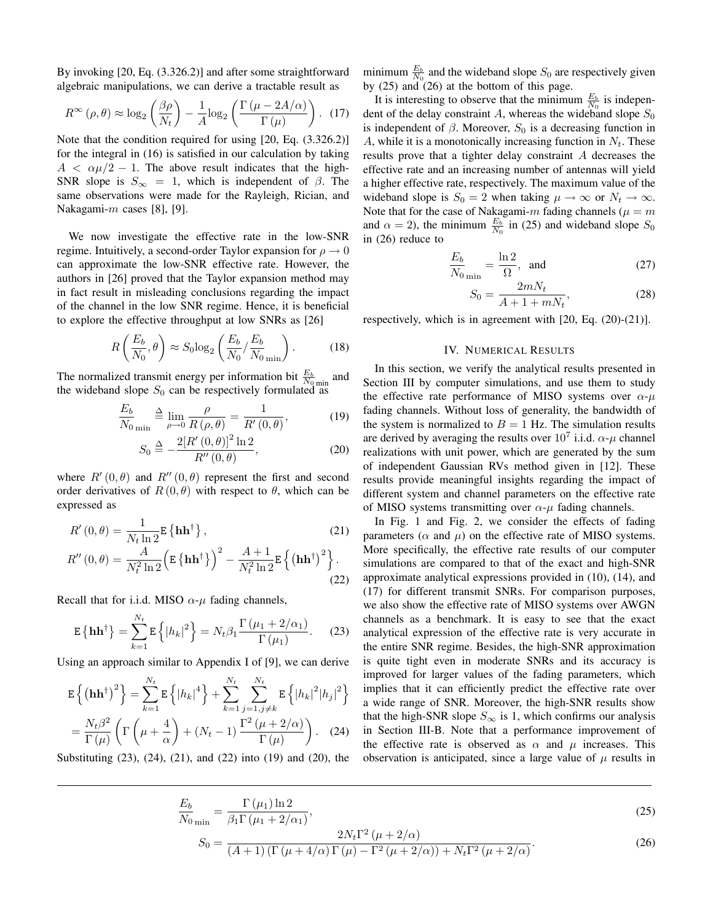By invoking [20, Eq. (3.326.2)] and after some straightforward algebraic manipulations, we can derive a tractable result as

$$
R^{\infty}(\rho,\theta) \approx \log_2\left(\frac{\beta \rho}{N_t}\right) - \frac{1}{A}\log_2\left(\frac{\Gamma\left(\mu - 2A/\alpha\right)}{\Gamma\left(\mu\right)}\right). \tag{17}
$$

Note that the condition required for using [20, Eq. (3.326.2)] for the integral in (16) is satisfied in our calculation by taking  $A < \alpha \mu/2 - 1$ . The above result indicates that the high-SNR slope is  $S_{\infty} = 1$ , which is independent of  $\beta$ . The same observations were made for the Rayleigh, Rician, and Nakagami-m cases [8], [9].

We now investigate the effective rate in the low-SNR regime. Intuitively, a second-order Taylor expansion for  $\rho \rightarrow 0$ can approximate the low-SNR effective rate. However, the authors in [26] proved that the Taylor expansion method may in fact result in misleading conclusions regarding the impact of the channel in the low SNR regime. Hence, it is beneficial to explore the effective throughput at low SNRs as [26]

$$
R\left(\frac{E_b}{N_0}, \theta\right) \approx S_0 \log_2\left(\frac{E_b}{N_0} / \frac{E_b}{N_0}_{\text{min}}\right). \tag{18}
$$

The normalized transmit energy per information bit  $\frac{E_b}{N_0 \text{ min}}$  and the wideband slope  $S_0$  can be respectively formulated as

$$
\frac{E_b}{N_0} \triangleq \lim_{\rho \to 0} \frac{\rho}{R(\rho, \theta)} = \frac{1}{R'(0, \theta)},
$$
(19)

$$
S_0 \stackrel{\Delta}{=} -\frac{2[R'(0,\theta)]^2 \ln 2}{R''(0,\theta)},
$$
\n(20)

where  $R'(0, \theta)$  and  $R''(0, \theta)$  represent the first and second<br>order derivatives of  $R(0, \theta)$  with respect to  $\theta$  which can be order derivatives of  $R(0, \theta)$  with respect to  $\theta$ , which can be expressed as

$$
R'(0,\theta) = \frac{1}{N_t \ln 2} \mathbf{E} \left\{ \mathbf{h} \mathbf{h}^{\dagger} \right\},
$$
\n
$$
R''(0,\theta) = \frac{A}{N_t^2 \ln 2} \left( \mathbf{E} \left\{ \mathbf{h} \mathbf{h}^{\dagger} \right\} \right)^2 - \frac{A+1}{N_t^2 \ln 2} \mathbf{E} \left\{ \left( \mathbf{h} \mathbf{h}^{\dagger} \right)^2 \right\}.
$$
\n(21)

Recall that for i.i.d. MISO  $\alpha$ - $\mu$  fading channels,

$$
\mathbf{E}\left\{\mathbf{h}\mathbf{h}^{\dagger}\right\} = \sum_{k=1}^{N_t} \mathbf{E}\left\{|h_k|^2\right\} = N_t \beta_1 \frac{\Gamma\left(\mu_1 + 2/\alpha_1\right)}{\Gamma\left(\mu_1\right)}.\tag{23}
$$

Using an approach similar to Appendix I of [9], we can derive

$$
\mathbf{E}\left\{(\mathbf{h}\mathbf{h}^{\dagger})^{2}\right\} = \sum_{k=1}^{N_{t}} \mathbf{E}\left\{|h_{k}|^{4}\right\} + \sum_{k=1}^{N_{t}} \sum_{j=1, j\neq k}^{N_{t}} \mathbf{E}\left\{|h_{k}|^{2}|h_{j}|^{2}\right\}
$$

$$
= \frac{N_{t}\beta^{2}}{\Gamma(\mu)} \left(\Gamma\left(\mu + \frac{4}{\alpha}\right) + (N_{t} - 1)\frac{\Gamma^{2}(\mu + 2/\alpha)}{\Gamma(\mu)}\right). \quad (24)
$$

Substituting (23), (24), (21), and (22) into (19) and (20), the

minimum  $\frac{E_b}{N_0}$  and the wideband slope  $S_0$  are respectively given by  $(25)$  and  $(26)$  at the bottom of this page.

It is interesting to observe that the minimum  $\frac{E_b}{N_0}$  is independent of the delay constraint A, whereas the wideband slope  $S_0$ is independent of  $\beta$ . Moreover,  $S_0$  is a decreasing function in A, while it is a monotonically increasing function in  $N_t$ . These results prove that a tighter delay constraint A decreases the effective rate and an increasing number of antennas will yield a higher effective rate, respectively. The maximum value of the wideband slope is  $S_0 = 2$  when taking  $\mu \to \infty$  or  $N_t \to \infty$ . Note that for the case of Nakagami- $m$  fading channels ( $\mu = m$ and  $\alpha = 2$ ), the minimum  $\frac{E_b}{N_0}$  in (25) and wideband slope  $S_0$ in (26) reduce to

$$
\frac{E_b}{N_0}_{\text{min}} = \frac{\ln 2}{\Omega}, \text{ and}
$$
 (27)

$$
S_0 = \frac{2mN_t}{A + 1 + mN_t},
$$
\n(28)

 $B_0 = \frac{A + 1 + mN_t}{A + 1 + mN_t}$ , (20)<br>respectively, which is in agreement with [20, Eq. (20)-(21)].

# IV. NUMERICAL RESULTS

In this section, we verify the analytical results presented in Section III by computer simulations, and use them to study the effective rate performance of MISO systems over  $\alpha$ - $\mu$ fading channels. Without loss of generality, the bandwidth of the system is normalized to  $B = 1$  Hz. The simulation results are derived by averaging the results over  $10^7$  i.i.d.  $\alpha$ - $\mu$  channel realizations with unit power, which are generated by the sum of independent Gaussian RVs method given in [12]. These results provide meaningful insights regarding the impact of different system and channel parameters on the effective rate of MISO systems transmitting over  $\alpha$ - $\mu$  fading channels.

In Fig. 1 and Fig. 2, we consider the effects of fading parameters ( $\alpha$  and  $\mu$ ) on the effective rate of MISO systems. More specifically, the effective rate results of our computer simulations are compared to that of the exact and high-SNR approximate analytical expressions provided in (10), (14), and (17) for different transmit SNRs. For comparison purposes, we also show the effective rate of MISO systems over AWGN channels as a benchmark. It is easy to see that the exact analytical expression of the effective rate is very accurate in the entire SNR regime. Besides, the high-SNR approximation is quite tight even in moderate SNRs and its accuracy is improved for larger values of the fading parameters, which implies that it can efficiently predict the effective rate over a wide range of SNR. Moreover, the high-SNR results show that the high-SNR slope  $S_{\infty}$  is 1, which confirms our analysis in Section III-B. Note that a performance improvement of the effective rate is observed as  $\alpha$  and  $\mu$  increases. This observation is anticipated, since a large value of  $\mu$  results in

$$
\frac{E_b}{N_0 \sin} = \frac{\Gamma(\mu_1) \ln 2}{\beta_1 \Gamma(\mu_1 + 2/\alpha_1)},
$$
\n
$$
2N_t \Gamma^2(\mu + 2/\alpha)
$$
\n(25)

$$
S_0 = \frac{2N_t\Gamma^2\left(\mu + 2/\alpha\right)}{\left(A+1\right)\left(\Gamma\left(\mu + 4/\alpha\right)\Gamma\left(\mu\right) - \Gamma^2\left(\mu + 2/\alpha\right)\right) + N_t\Gamma^2\left(\mu + 2/\alpha\right)}.\tag{26}
$$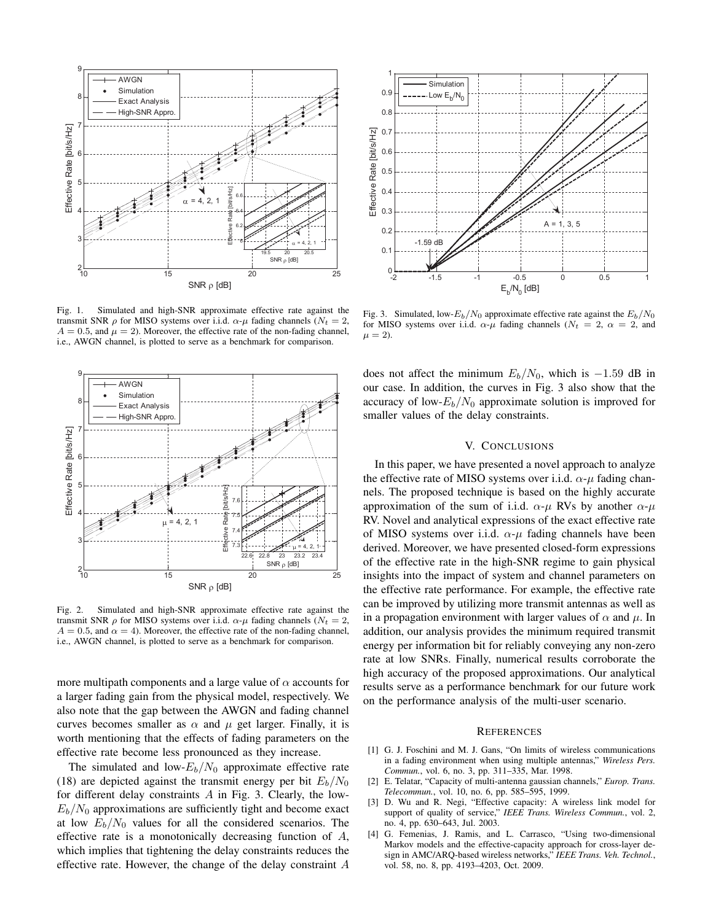

Fig. 1. Simulated and high-SNR approximate effective rate against the transmit SNR  $ρ$  for MISO systems over i.i.d.  $α$ - $μ$  fading channels ( $N_t = 2$ ,  $A = 0.5$ , and  $\mu = 2$ ). Moreover, the effective rate of the non-fading channel, i.e., AWGN channel, is plotted to serve as a benchmark for comparison.



Fig. 2. Simulated and high-SNR approximate effective rate against the transmit SNR  $ρ$  for MISO systems over i.i.d.  $α$ - $μ$  fading channels ( $N_t = 2$ ,  $A = 0.5$ , and  $\alpha = 4$ ). Moreover, the effective rate of the non-fading channel, i.e., AWGN channel, is plotted to serve as a benchmark for comparison.

more multipath components and a large value of  $\alpha$  accounts for a larger fading gain from the physical model, respectively. We also note that the gap between the AWGN and fading channel curves becomes smaller as  $\alpha$  and  $\mu$  get larger. Finally, it is worth mentioning that the effects of fading parameters on the effective rate become less pronounced as they increase.

The simulated and low- $E_b/N_0$  approximate effective rate (18) are depicted against the transmit energy per bit  $E_b/N_0$ for different delay constraints  $A$  in Fig. 3. Clearly, the low- $E_b/N_0$  approximations are sufficiently tight and become exact at low  $E_b/N_0$  values for all the considered scenarios. The effective rate is a monotonically decreasing function of  $A$ , which implies that tightening the delay constraints reduces the effective rate. However, the change of the delay constraint A



Fig. 3. Simulated, low- $E_b/N_0$  approximate effective rate against the  $E_b/N_0$ for MISO systems over i.i.d.  $\alpha$ - $\mu$  fading channels ( $N_t = 2$ ,  $\alpha = 2$ , and  $\mu = 2$ ).

does not affect the minimum  $E_b/N_0$ , which is  $-1.59$  dB in our case. In addition, the curves in Fig. 3 also show that the accuracy of low- $E_b/N_0$  approximate solution is improved for smaller values of the delay constraints.

## V. CONCLUSIONS

In this paper, we have presented a novel approach to analyze the effective rate of MISO systems over i.i.d.  $\alpha$ - $\mu$  fading channels. The proposed technique is based on the highly accurate approximation of the sum of i.i.d.  $\alpha$ - $\mu$  RVs by another  $\alpha$ - $\mu$ RV. Novel and analytical expressions of the exact effective rate of MISO systems over i.i.d.  $\alpha$ - $\mu$  fading channels have been derived. Moreover, we have presented closed-form expressions of the effective rate in the high-SNR regime to gain physical insights into the impact of system and channel parameters on the effective rate performance. For example, the effective rate can be improved by utilizing more transmit antennas as well as in a propagation environment with larger values of  $\alpha$  and  $\mu$ . In addition, our analysis provides the minimum required transmit energy per information bit for reliably conveying any non-zero rate at low SNRs. Finally, numerical results corroborate the high accuracy of the proposed approximations. Our analytical results serve as a performance benchmark for our future work on the performance analysis of the multi-user scenario.

#### **REFERENCES**

- [1] G. J. Foschini and M. J. Gans, "On limits of wireless communications in a fading environment when using multiple antennas," *Wireless Pers. Commun.*, vol. 6, no. 3, pp. 311–335, Mar. 1998.
- [2] E. Telatar, "Capacity of multi-antenna gaussian channels," *Europ. Trans. Telecommun.*, vol. 10, no. 6, pp. 585–595, 1999.
- [3] D. Wu and R. Negi, "Effective capacity: A wireless link model for support of quality of service," *IEEE Trans. Wireless Commun.*, vol. 2, no. 4, pp. 630–643, Jul. 2003.
- [4] G. Femenias, J. Ramis, and L. Carrasco, "Using two-dimensional Markov models and the effective-capacity approach for cross-layer design in AMC/ARQ-based wireless networks," *IEEE Trans. Veh. Technol.*, vol. 58, no. 8, pp. 4193–4203, Oct. 2009.